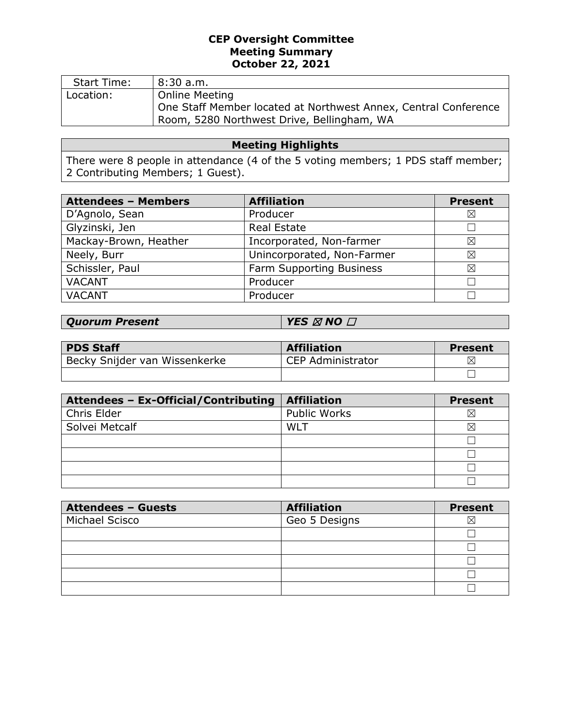## **CEP Oversight Committee Meeting Summary October 22, 2021**

| <b>Start Time:</b> | 8:30a.m.                                                        |
|--------------------|-----------------------------------------------------------------|
| Location:          | <b>Online Meeting</b>                                           |
|                    | One Staff Member located at Northwest Annex, Central Conference |
|                    | Room, 5280 Northwest Drive, Bellingham, WA                      |

# **Meeting Highlights**

There were 8 people in attendance (4 of the 5 voting members; 1 PDS staff member; 2 Contributing Members; 1 Guest).

| <b>Attendees - Members</b> | <b>Affiliation</b>         | <b>Present</b> |
|----------------------------|----------------------------|----------------|
| D'Agnolo, Sean             | Producer                   | $\boxtimes$    |
| Glyzinski, Jen             | <b>Real Estate</b>         |                |
| Mackay-Brown, Heather      | Incorporated, Non-farmer   | ⊠              |
| Neely, Burr                | Unincorporated, Non-Farmer | ⊠              |
| Schissler, Paul            | Farm Supporting Business   | ⊠              |
| <b>VACANT</b>              | Producer                   | Г              |
| <b>VACANT</b>              | Producer                   |                |

| <b>PDS Staff</b>              | <b>Affiliation</b>       | Present  |
|-------------------------------|--------------------------|----------|
| Becky Snijder van Wissenkerke | <b>CEP Administrator</b> | $\times$ |
|                               |                          |          |

| Attendees - Ex-Official/Contributing | <b>Affiliation</b>  | <b>Present</b> |
|--------------------------------------|---------------------|----------------|
| Chris Elder                          | <b>Public Works</b> | ⋉              |
| Solvei Metcalf                       | WLT                 | ⊠              |
|                                      |                     |                |
|                                      |                     |                |
|                                      |                     |                |
|                                      |                     |                |

| <b>Attendees - Guests</b> | <b>Affiliation</b> | <b>Present</b> |
|---------------------------|--------------------|----------------|
| Michael Scisco            | Geo 5 Designs      | ⋉              |
|                           |                    |                |
|                           |                    |                |
|                           |                    |                |
|                           |                    |                |
|                           |                    |                |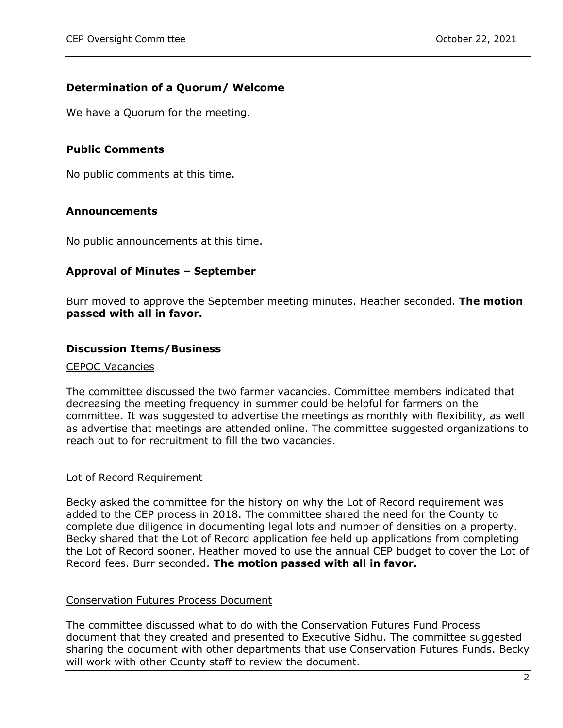## **Determination of a Quorum/ Welcome**

We have a Quorum for the meeting.

## **Public Comments**

No public comments at this time.

## **Announcements**

No public announcements at this time.

## **Approval of Minutes – September**

Burr moved to approve the September meeting minutes. Heather seconded. **The motion passed with all in favor.**

#### **Discussion Items/Business**

#### CEPOC Vacancies

The committee discussed the two farmer vacancies. Committee members indicated that decreasing the meeting frequency in summer could be helpful for farmers on the committee. It was suggested to advertise the meetings as monthly with flexibility, as well as advertise that meetings are attended online. The committee suggested organizations to reach out to for recruitment to fill the two vacancies.

#### Lot of Record Requirement

Becky asked the committee for the history on why the Lot of Record requirement was added to the CEP process in 2018. The committee shared the need for the County to complete due diligence in documenting legal lots and number of densities on a property. Becky shared that the Lot of Record application fee held up applications from completing the Lot of Record sooner. Heather moved to use the annual CEP budget to cover the Lot of Record fees. Burr seconded. **The motion passed with all in favor.**

#### Conservation Futures Process Document

The committee discussed what to do with the Conservation Futures Fund Process document that they created and presented to Executive Sidhu. The committee suggested sharing the document with other departments that use Conservation Futures Funds. Becky will work with other County staff to review the document.